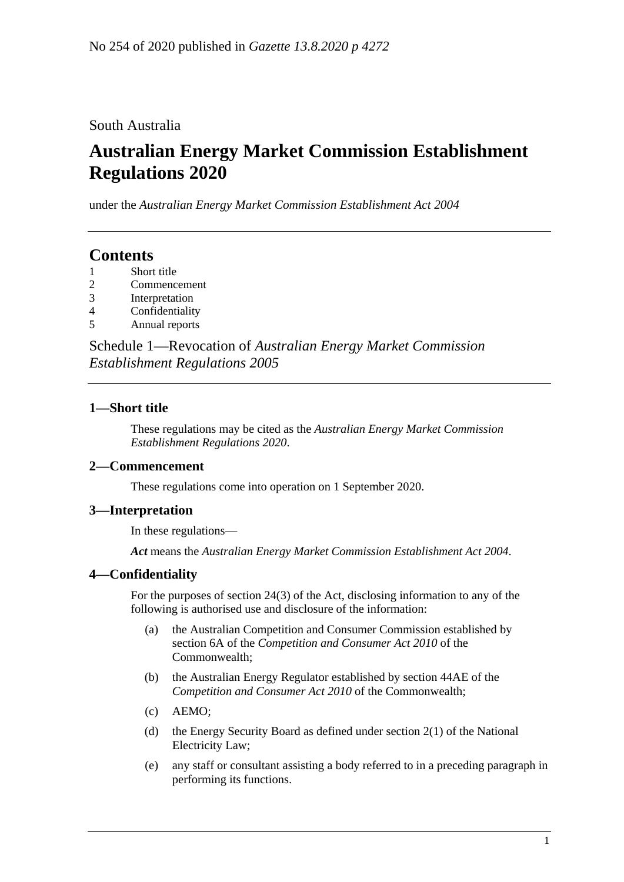South Australia

# **Australian Energy Market Commission Establishment Regulations 2020**

under the *Australian Energy Market Commission Establishment Act 2004*

# **Contents**

- 1 [Short title](#page-0-0)
- 2 [Commencement](#page-0-1)
- 3 [Interpretation](#page-0-2)
- 4 [Confidentiality](#page-0-3)
- 5 [Annual reports](#page-1-0)

Schedule 1—Revocation of *[Australian Energy Market Commission](#page-2-0)  [Establishment Regulations](#page-2-0) 2005*

## <span id="page-0-0"></span>**1—Short title**

These regulations may be cited as the *Australian Energy Market Commission Establishment Regulations 2020*.

## <span id="page-0-1"></span>**2—Commencement**

These regulations come into operation on 1 September 2020.

#### <span id="page-0-2"></span>**3—Interpretation**

In these regulations—

*Act* means the *[Australian Energy Market Commission Establishment Act](http://www.legislation.sa.gov.au/index.aspx?action=legref&type=act&legtitle=Australian%20Energy%20Market%20Commission%20Establishment%20Act%202004) 2004*.

## <span id="page-0-3"></span>**4—Confidentiality**

For the purposes of section 24(3) of the Act, disclosing information to any of the following is authorised use and disclosure of the information:

- (a) the Australian Competition and Consumer Commission established by section 6A of the *Competition and Consumer Act 2010* of the Commonwealth;
- (b) the Australian Energy Regulator established by section 44AE of the *Competition and Consumer Act 2010* of the Commonwealth;
- (c) AEMO;
- (d) the Energy Security Board as defined under section 2(1) of the National Electricity Law;
- (e) any staff or consultant assisting a body referred to in a preceding paragraph in performing its functions.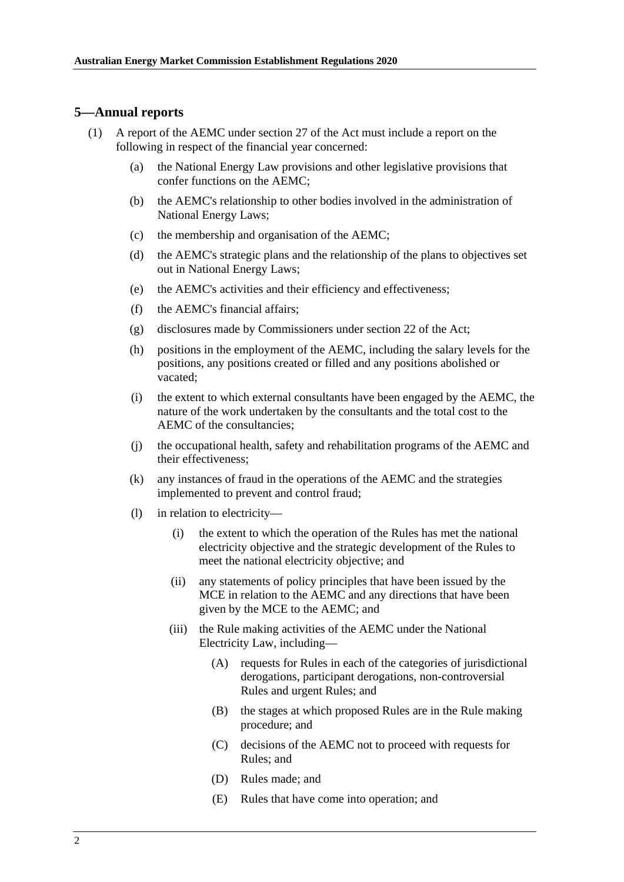#### <span id="page-1-0"></span>**5—Annual reports**

- <span id="page-1-1"></span>(1) A report of the AEMC under section 27 of the Act must include a report on the following in respect of the financial year concerned:
	- (a) the National Energy Law provisions and other legislative provisions that confer functions on the AEMC;
	- (b) the AEMC's relationship to other bodies involved in the administration of National Energy Laws;
	- (c) the membership and organisation of the AEMC;
	- (d) the AEMC's strategic plans and the relationship of the plans to objectives set out in National Energy Laws;
	- (e) the AEMC's activities and their efficiency and effectiveness;
	- (f) the AEMC's financial affairs;
	- (g) disclosures made by Commissioners under section 22 of the Act;
	- (h) positions in the employment of the AEMC, including the salary levels for the positions, any positions created or filled and any positions abolished or vacated;
	- (i) the extent to which external consultants have been engaged by the AEMC, the nature of the work undertaken by the consultants and the total cost to the AEMC of the consultancies;
	- (j) the occupational health, safety and rehabilitation programs of the AEMC and their effectiveness;
	- (k) any instances of fraud in the operations of the AEMC and the strategies implemented to prevent and control fraud;
	- (l) in relation to electricity—
		- (i) the extent to which the operation of the Rules has met the national electricity objective and the strategic development of the Rules to meet the national electricity objective; and
		- (ii) any statements of policy principles that have been issued by the MCE in relation to the AEMC and any directions that have been given by the MCE to the AEMC; and
		- (iii) the Rule making activities of the AEMC under the National Electricity Law, including—
			- (A) requests for Rules in each of the categories of jurisdictional derogations, participant derogations, non-controversial Rules and urgent Rules; and
			- (B) the stages at which proposed Rules are in the Rule making procedure; and
			- (C) decisions of the AEMC not to proceed with requests for Rules; and
			- (D) Rules made; and
			- (E) Rules that have come into operation; and